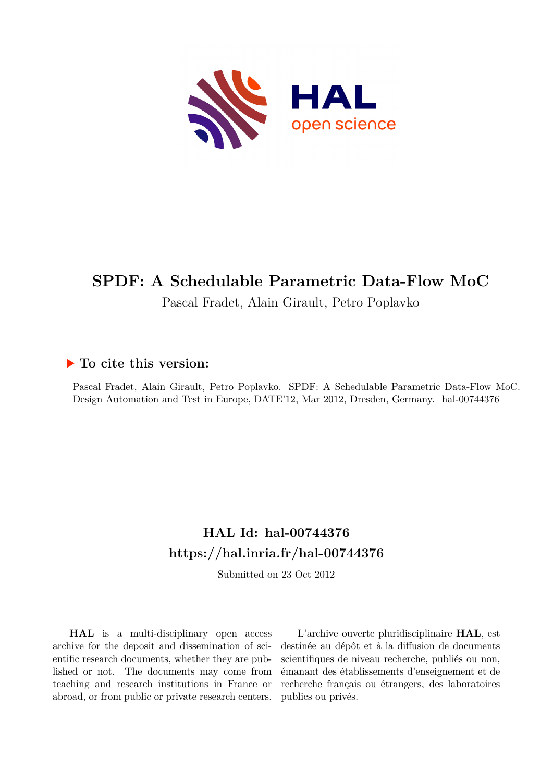

## **SPDF: A Schedulable Parametric Data-Flow MoC**

Pascal Fradet, Alain Girault, Petro Poplavko

### **To cite this version:**

Pascal Fradet, Alain Girault, Petro Poplavko. SPDF: A Schedulable Parametric Data-Flow MoC. Design Automation and Test in Europe, DATE'12, Mar 2012, Dresden, Germany. hal-00744376

### **HAL Id: hal-00744376 <https://hal.inria.fr/hal-00744376>**

Submitted on 23 Oct 2012

**HAL** is a multi-disciplinary open access archive for the deposit and dissemination of scientific research documents, whether they are published or not. The documents may come from teaching and research institutions in France or abroad, or from public or private research centers.

L'archive ouverte pluridisciplinaire **HAL**, est destinée au dépôt et à la diffusion de documents scientifiques de niveau recherche, publiés ou non, émanant des établissements d'enseignement et de recherche français ou étrangers, des laboratoires publics ou privés.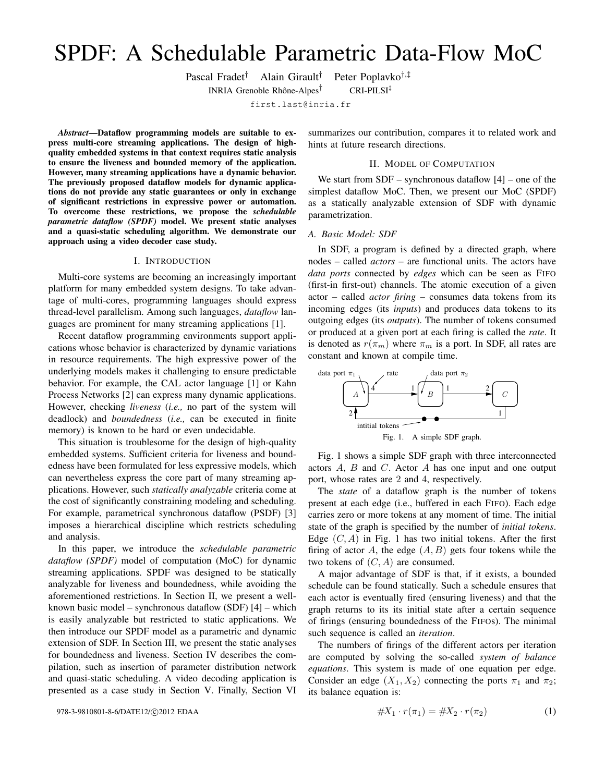# SPDF: A Schedulable Parametric Data-Flow MoC

Pascal Fradet† Alain Girault† Peter Poplavko†,‡

INRIA Grenoble Rhône-Alpes<sup>†</sup>

† CRI-PILSI‡

first.last@inria.fr

*Abstract*—Dataflow programming models are suitable to express multi-core streaming applications. The design of highquality embedded systems in that context requires static analysis to ensure the liveness and bounded memory of the application. However, many streaming applications have a dynamic behavior. The previously proposed dataflow models for dynamic applications do not provide any static guarantees or only in exchange of significant restrictions in expressive power or automation. To overcome these restrictions, we propose the *schedulable parametric dataflow (SPDF)* model. We present static analyses and a quasi-static scheduling algorithm. We demonstrate our approach using a video decoder case study.

#### I. INTRODUCTION

Multi-core systems are becoming an increasingly important platform for many embedded system designs. To take advantage of multi-cores, programming languages should express thread-level parallelism. Among such languages, *dataflow* languages are prominent for many streaming applications [1].

Recent dataflow programming environments support applications whose behavior is characterized by dynamic variations in resource requirements. The high expressive power of the underlying models makes it challenging to ensure predictable behavior. For example, the CAL actor language [1] or Kahn Process Networks [2] can express many dynamic applications. However, checking *liveness* (*i.e.,* no part of the system will deadlock) and *boundedness* (*i.e.,* can be executed in finite memory) is known to be hard or even undecidable.

This situation is troublesome for the design of high-quality embedded systems. Sufficient criteria for liveness and boundedness have been formulated for less expressive models, which can nevertheless express the core part of many streaming applications. However, such *statically analyzable* criteria come at the cost of significantly constraining modeling and scheduling. For example, parametrical synchronous dataflow (PSDF) [3] imposes a hierarchical discipline which restricts scheduling and analysis.

In this paper, we introduce the *schedulable parametric dataflow (SPDF)* model of computation (MoC) for dynamic streaming applications. SPDF was designed to be statically analyzable for liveness and boundedness, while avoiding the aforementioned restrictions. In Section II, we present a wellknown basic model – synchronous dataflow (SDF) [4] – which is easily analyzable but restricted to static applications. We then introduce our SPDF model as a parametric and dynamic extension of SDF. In Section III, we present the static analyses for boundedness and liveness. Section IV describes the compilation, such as insertion of parameter distribution network and quasi-static scheduling. A video decoding application is presented as a case study in Section V. Finally, Section VI

978-3-9810801-8-6/DATE12/C)2012 EDAA

summarizes our contribution, compares it to related work and hints at future research directions.

#### II. MODEL OF COMPUTATION

We start from  $SDF -$  synchronous dataflow  $[4] -$  one of the simplest dataflow MoC. Then, we present our MoC (SPDF) as a statically analyzable extension of SDF with dynamic parametrization.

#### *A. Basic Model: SDF*

In SDF, a program is defined by a directed graph, where nodes – called *actors* – are functional units. The actors have *data ports* connected by *edges* which can be seen as FIFO (first-in first-out) channels. The atomic execution of a given actor – called *actor firing* – consumes data tokens from its incoming edges (its *inputs*) and produces data tokens to its outgoing edges (its *outputs*). The number of tokens consumed or produced at a given port at each firing is called the *rate*. It is denoted as  $r(\pi_m)$  where  $\pi_m$  is a port. In SDF, all rates are constant and known at compile time.



Fig. 1 shows a simple SDF graph with three interconnected actors A, B and C. Actor A has one input and one output port, whose rates are 2 and 4, respectively.

The *state* of a dataflow graph is the number of tokens present at each edge (i.e., buffered in each FIFO). Each edge carries zero or more tokens at any moment of time. The initial state of the graph is specified by the number of *initial tokens*. Edge  $(C, A)$  in Fig. 1 has two initial tokens. After the first firing of actor A, the edge  $(A, B)$  gets four tokens while the two tokens of  $(C, A)$  are consumed.

A major advantage of SDF is that, if it exists, a bounded schedule can be found statically. Such a schedule ensures that each actor is eventually fired (ensuring liveness) and that the graph returns to its its initial state after a certain sequence of firings (ensuring boundedness of the FIFOs). The minimal such sequence is called an *iteration*.

The numbers of firings of the different actors per iteration are computed by solving the so-called *system of balance equations*. This system is made of one equation per edge. Consider an edge  $(X_1, X_2)$  connecting the ports  $\pi_1$  and  $\pi_2$ ; its balance equation is:

$$
#X_1 \cdot r(\pi_1) = #X_2 \cdot r(\pi_2)
$$
 (1)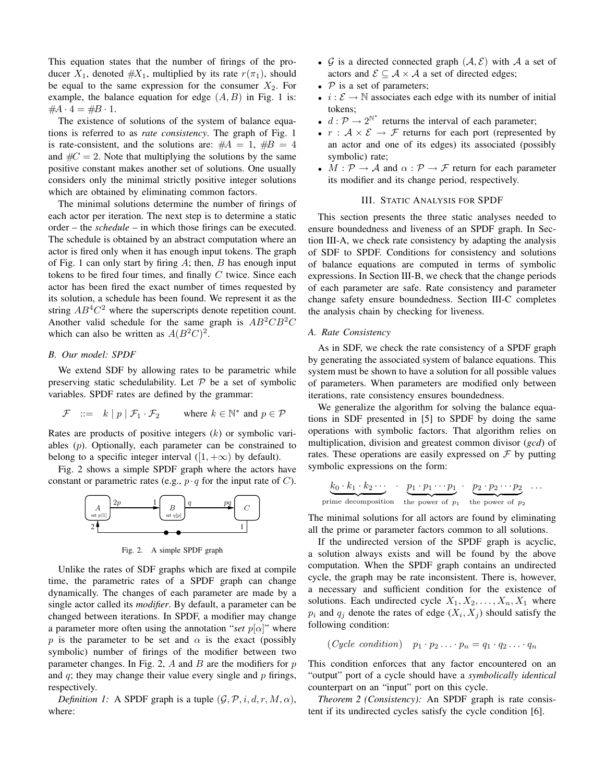This equation states that the number of firings of the producer  $X_1$ , denoted  $#X_1$ , multiplied by its rate  $r(\pi_1)$ , should be equal to the same expression for the consumer  $X_2$ . For example, the balance equation for edge  $(A, B)$  in Fig. 1 is:  $#A \cdot 4 = #B \cdot 1.$ 

The existence of solutions of the system of balance equations is referred to as *rate consistency*. The graph of Fig. 1 is rate-consistent, and the solutions are:  $#A = 1, #B = 4$ and  $\#C = 2$ . Note that multiplying the solutions by the same positive constant makes another set of solutions. One usually considers only the minimal strictly positive integer solutions which are obtained by eliminating common factors.

The minimal solutions determine the number of firings of each actor per iteration. The next step is to determine a static order – the *schedule* – in which those firings can be executed. The schedule is obtained by an abstract computation where an actor is fired only when it has enough input tokens. The graph of Fig. 1 can only start by firing  $A$ ; then,  $B$  has enough input tokens to be fired four times, and finally  $C$  twice. Since each actor has been fired the exact number of times requested by its solution, a schedule has been found. We represent it as the string  $AB^4C^2$  where the superscripts denote repetition count. Another valid schedule for the same graph is  $AB^2CB^2C$ which can also be written as  $A(B^2C)^2$ .

#### *B. Our model: SPDF*

We extend SDF by allowing rates to be parametric while preserving static schedulability. Let  $P$  be a set of symbolic variables. SPDF rates are defined by the grammar:

$$
\mathcal{F} \quad ::= \quad k \mid p \mid \mathcal{F}_1 \cdot \mathcal{F}_2 \qquad \text{where } k \in \mathbb{N}^* \text{ and } p \in \mathcal{P}
$$

Rates are products of positive integers  $(k)$  or symbolic variables (p). Optionally, each parameter can be constrained to belong to a specific integer interval  $(1, +\infty)$  by default).

Fig. 2 shows a simple SPDF graph where the actors have constant or parametric rates (e.g.,  $p \cdot q$  for the input rate of C).



Fig. 2. A simple SPDF graph

Unlike the rates of SDF graphs which are fixed at compile time, the parametric rates of a SPDF graph can change dynamically. The changes of each parameter are made by a single actor called its *modifier*. By default, a parameter can be changed between iterations. In SPDF, a modifier may change a parameter more often using the annotation "*set*  $p[\alpha]$ " where p is the parameter to be set and  $\alpha$  is the exact (possibly symbolic) number of firings of the modifier between two parameter changes. In Fig. 2,  $A$  and  $B$  are the modifiers for  $p$ and  $q$ ; they may change their value every single and  $p$  firings, respectively.

*Definition 1:* A SPDF graph is a tuple  $(G, \mathcal{P}, i, d, r, M, \alpha)$ , where:

- $\mathcal G$  is a directed connected graph  $(\mathcal A, \mathcal E)$  with  $\mathcal A$  a set of actors and  $\mathcal{E} \subseteq \mathcal{A} \times \mathcal{A}$  a set of directed edges;
- $P$  is a set of parameters;
- $i : \mathcal{E} \to \mathbb{N}$  associates each edge with its number of initial tokens;
- $d: \mathcal{P} \to 2^{\mathbb{N}^*}$  returns the interval of each parameter;
- $r : A \times E \rightarrow F$  returns for each port (represented by an actor and one of its edges) its associated (possibly symbolic) rate;
- $M: \mathcal{P} \to \mathcal{A}$  and  $\alpha: \mathcal{P} \to \mathcal{F}$  return for each parameter its modifier and its change period, respectively.

#### III. STATIC ANALYSIS FOR SPDF

This section presents the three static analyses needed to ensure boundedness and liveness of an SPDF graph. In Section III-A, we check rate consistency by adapting the analysis of SDF to SPDF. Conditions for consistency and solutions of balance equations are computed in terms of symbolic expressions. In Section III-B, we check that the change periods of each parameter are safe. Rate consistency and parameter change safety ensure boundedness. Section III-C completes the analysis chain by checking for liveness.

#### *A. Rate Consistency*

As in SDF, we check the rate consistency of a SPDF graph by generating the associated system of balance equations. This system must be shown to have a solution for all possible values of parameters. When parameters are modified only between iterations, rate consistency ensures boundedness.

We generalize the algorithm for solving the balance equations in SDF presented in [5] to SPDF by doing the same operations with symbolic factors. That algorithm relies on multiplication, division and greatest common divisor (*gcd*) of rates. These operations are easily expressed on  $\mathcal F$  by putting symbolic expressions on the form:

$$
\underbrace{k_0 \cdot k_1 \cdot k_2 \cdots}_{\text{prime decomposition}} \cdot \underbrace{p_1 \cdot p_1 \cdots p_1}_{\text{the power of } p_1} \cdot \underbrace{p_2 \cdot p_2 \cdots p_2}_{\text{the power of } p_2} \cdots
$$

The minimal solutions for all actors are found by eliminating all the prime or parameter factors common to all solutions.

If the undirected version of the SPDF graph is acyclic, a solution always exists and will be found by the above computation. When the SPDF graph contains an undirected cycle, the graph may be rate inconsistent. There is, however, a necessary and sufficient condition for the existence of solutions. Each undirected cycle  $X_1, X_2, \ldots, X_n, X_1$  where  $p_i$  and  $q_j$  denote the rates of edge  $(X_i, X_j)$  should satisfy the following condition:

$$
(Cycle\ condition) \quad p_1 \cdot p_2 \ldots \cdot p_n = q_1 \cdot q_2 \ldots \cdot q_n
$$

This condition enforces that any factor encountered on an "output" port of a cycle should have a *symbolically identical* counterpart on an "input" port on this cycle.

*Theorem 2 (Consistency):* An SPDF graph is rate consistent if its undirected cycles satisfy the cycle condition [6].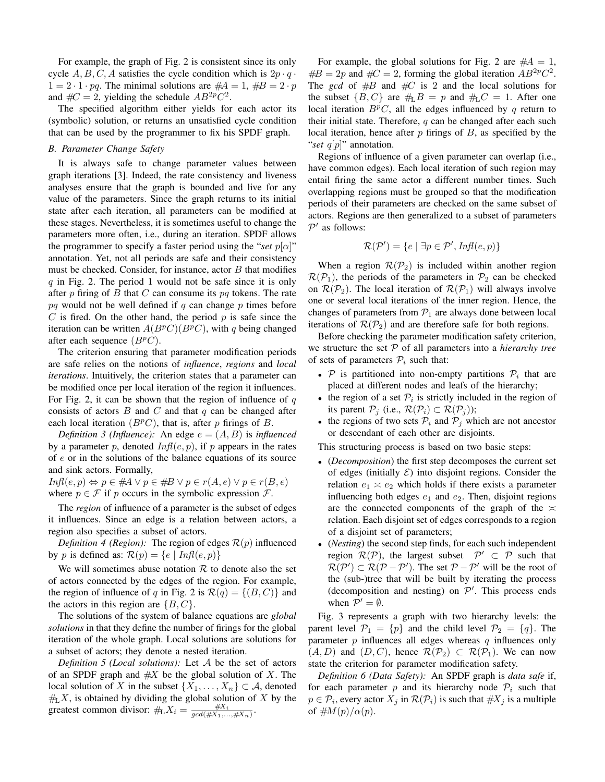For example, the graph of Fig. 2 is consistent since its only cycle  $A, B, C, A$  satisfies the cycle condition which is  $2p \cdot q \cdot$  $1 = 2 \cdot 1 \cdot pq$ . The minimal solutions are  $#A = 1, \, #B = 2 \cdot p$ and  $\#C = 2$ , yielding the schedule  $AB^{2p}C^2$ .

The specified algorithm either yields for each actor its (symbolic) solution, or returns an unsatisfied cycle condition that can be used by the programmer to fix his SPDF graph.

#### *B. Parameter Change Safety*

It is always safe to change parameter values between graph iterations [3]. Indeed, the rate consistency and liveness analyses ensure that the graph is bounded and live for any value of the parameters. Since the graph returns to its initial state after each iteration, all parameters can be modified at these stages. Nevertheless, it is sometimes useful to change the parameters more often, i.e., during an iteration. SPDF allows the programmer to specify a faster period using the "*set*  $p[\alpha]$ " annotation. Yet, not all periods are safe and their consistency must be checked. Consider, for instance, actor  $B$  that modifies  $q$  in Fig. 2. The period 1 would not be safe since it is only after  $p$  firing of  $B$  that  $C$  can consume its  $pq$  tokens. The rate  $pq$  would not be well defined if q can change p times before  $C$  is fired. On the other hand, the period  $p$  is safe since the iteration can be written  $A(B^p C)(B^p C)$ , with q being changed after each sequence  $(B^pC)$ .

The criterion ensuring that parameter modification periods are safe relies on the notions of *influence*, *regions* and *local iterations*. Intuitively, the criterion states that a parameter can be modified once per local iteration of the region it influences. For Fig. 2, it can be shown that the region of influence of  $q$ consists of actors  $B$  and  $C$  and that  $q$  can be changed after each local iteration  $(B<sup>p</sup>C)$ , that is, after p firings of B.

*Definition 3 (Influence):* An edge  $e = (A, B)$  is *influenced* by a parameter p, denoted  $Inf(e, p)$ , if p appears in the rates of e or in the solutions of the balance equations of its source and sink actors. Formally,

 $Infl(e, p) \Leftrightarrow p \in #A \lor p \in #B \lor p \in r(A, e) \lor p \in r(B, e)$ where  $p \in \mathcal{F}$  if p occurs in the symbolic expression  $\mathcal{F}$ .

The *region* of influence of a parameter is the subset of edges it influences. Since an edge is a relation between actors, a region also specifies a subset of actors.

*Definition 4 (Region):* The region of edges  $\mathcal{R}(p)$  influenced by p is defined as:  $\mathcal{R}(p) = \{e \mid \text{Infl}(e, p)\}\$ 

We will sometimes abuse notation  $R$  to denote also the set of actors connected by the edges of the region. For example, the region of influence of q in Fig. 2 is  $\mathcal{R}(q) = \{(B, C)\}\$ and the actors in this region are  $\{B, C\}$ .

The solutions of the system of balance equations are *global solutions* in that they define the number of firings for the global iteration of the whole graph. Local solutions are solutions for a subset of actors; they denote a nested iteration.

*Definition 5 (Local solutions):* Let A be the set of actors of an SPDF graph and  $#X$  be the global solution of X. The local solution of X in the subset  $\{X_1, \ldots, X_n\} \subset \mathcal{A}$ , denoted  $#L X$ , is obtained by dividing the global solution of X by the greatest common divisor:  $\#_L X_i = \frac{\#X_i}{gcd(\#X_1, ..., \#X_n)}$ .

For example, the global solutions for Fig. 2 are  $#A = 1$ ,  $\#B = 2p$  and  $\#C = 2$ , forming the global iteration  $AB^{2p}C^2$ . The *gcd* of  $#B$  and  $#C$  is 2 and the local solutions for the subset  $\{B, C\}$  are  $\#L B = p$  and  $\#L C = 1$ . After one local iteration  $B<sup>p</sup>C$ , all the edges influenced by q return to their initial state. Therefore,  $q$  can be changed after each such local iteration, hence after  $p$  firings of  $B$ , as specified by the "*set* q[p]" annotation.

Regions of influence of a given parameter can overlap (i.e., have common edges). Each local iteration of such region may entail firing the same actor a different number times. Such overlapping regions must be grouped so that the modification periods of their parameters are checked on the same subset of actors. Regions are then generalized to a subset of parameters  $P'$  as follows:

$$
\mathcal{R}(\mathcal{P}') = \{e \mid \exists p \in \mathcal{P}', \textit{Infl}(e, p)\}
$$

When a region  $\mathcal{R}(\mathcal{P}_2)$  is included within another region  $\mathcal{R}(\mathcal{P}_1)$ , the periods of the parameters in  $\mathcal{P}_2$  can be checked on  $\mathcal{R}(\mathcal{P}_2)$ . The local iteration of  $\mathcal{R}(\mathcal{P}_1)$  will always involve one or several local iterations of the inner region. Hence, the changes of parameters from  $P_1$  are always done between local iterations of  $\mathcal{R}(\mathcal{P}_2)$  and are therefore safe for both regions.

Before checking the parameter modification safety criterion, we structure the set P of all parameters into a *hierarchy tree* of sets of parameters  $P_i$  such that:

- $P$  is partitioned into non-empty partitions  $P_i$  that are placed at different nodes and leafs of the hierarchy;
- the region of a set  $P_i$  is strictly included in the region of its parent  $P_j$  (i.e.,  $\mathcal{R}(\mathcal{P}_i) \subset \mathcal{R}(\mathcal{P}_j)$ );
- the regions of two sets  $P_i$  and  $P_j$  which are not ancestor or descendant of each other are disjoints.

This structuring process is based on two basic steps:

- (*Decomposition*) the first step decomposes the current set of edges (initially  $\mathcal{E}$ ) into disjoint regions. Consider the relation  $e_1 \times e_2$  which holds if there exists a parameter influencing both edges  $e_1$  and  $e_2$ . Then, disjoint regions are the connected components of the graph of the  $\approx$ relation. Each disjoint set of edges corresponds to a region of a disjoint set of parameters;
- (*Nesting*) the second step finds, for each such independent region  $\mathcal{R}(\mathcal{P})$ , the largest subset  $\mathcal{P}' \subset \mathcal{P}$  such that  $\mathcal{R}(\mathcal{P}') \subset \mathcal{R}(\mathcal{P} - \mathcal{P}')$ . The set  $\mathcal{P} - \mathcal{P}'$  will be the root of the (sub-)tree that will be built by iterating the process (decomposition and nesting) on  $\mathcal{P}'$ . This process ends when  $P' = \emptyset$ .

Fig. 3 represents a graph with two hierarchy levels: the parent level  $\mathcal{P}_1 = \{p\}$  and the child level  $\mathcal{P}_2 = \{q\}$ . The parameter  $p$  influences all edges whereas  $q$  influences only  $(A, D)$  and  $(D, C)$ , hence  $\mathcal{R}(\mathcal{P}_2) \subset \mathcal{R}(\mathcal{P}_1)$ . We can now state the criterion for parameter modification safety.

*Definition 6 (Data Safety):* An SPDF graph is *data safe* if, for each parameter p and its hierarchy node  $P_i$  such that  $p \in \mathcal{P}_i$ , every actor  $X_j$  in  $\mathcal{R}(\mathcal{P}_i)$  is such that  $\#X_j$  is a multiple of  $\#M(p)/\alpha(p)$ .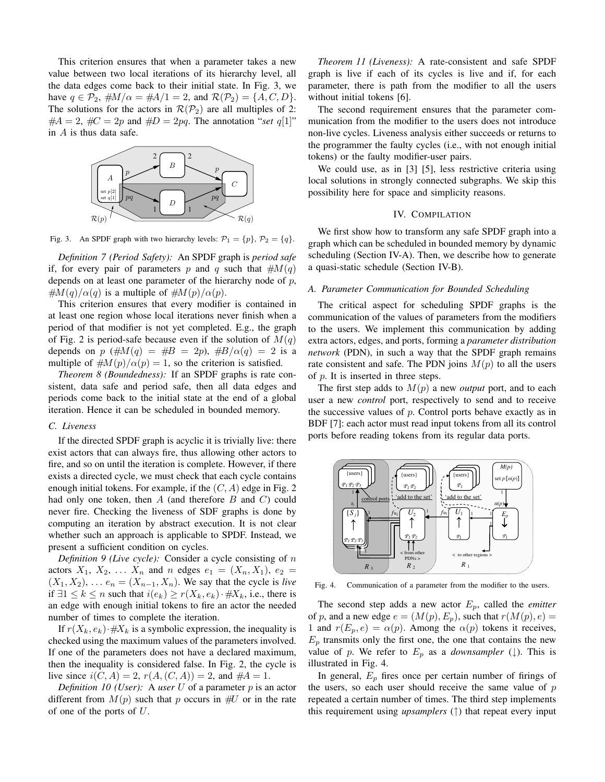This criterion ensures that when a parameter takes a new value between two local iterations of its hierarchy level, all the data edges come back to their initial state. In Fig. 3, we have  $q \in \mathcal{P}_2$ ,  $\#M/\alpha = \#A/1 = 2$ , and  $\mathcal{R}(\mathcal{P}_2) = \{A, C, D\}.$ The solutions for the actors in  $\mathcal{R}(\mathcal{P}_2)$  are all multiples of 2:  $#A = 2$ ,  $#C = 2p$  and  $#D = 2pq$ . The annotation "set q[1]" in A is thus data safe.



Fig. 3. An SPDF graph with two hierarchy levels:  $\mathcal{P}_1 = \{p\}, \mathcal{P}_2 = \{q\}.$ 

*Definition 7 (Period Safety):* An SPDF graph is *period safe* if, for every pair of parameters p and q such that  $#M(q)$ depends on at least one parameter of the hierarchy node of  $p$ ,  $\#M(q)/\alpha(q)$  is a multiple of  $\#M(p)/\alpha(p)$ .

This criterion ensures that every modifier is contained in at least one region whose local iterations never finish when a period of that modifier is not yet completed. E.g., the graph of Fig. 2 is period-safe because even if the solution of  $M(q)$ depends on p  $(\#M(q) = \#B = 2p)$ ,  $\#B/\alpha(q) = 2$  is a multiple of  $\#M(p)/\alpha(p) = 1$ , so the criterion is satisfied.

*Theorem 8 (Boundedness):* If an SPDF graphs is rate consistent, data safe and period safe, then all data edges and periods come back to the initial state at the end of a global iteration. Hence it can be scheduled in bounded memory.

#### *C. Liveness*

If the directed SPDF graph is acyclic it is trivially live: there exist actors that can always fire, thus allowing other actors to fire, and so on until the iteration is complete. However, if there exists a directed cycle, we must check that each cycle contains enough initial tokens. For example, if the  $(C, A)$  edge in Fig. 2 had only one token, then  $A$  (and therefore  $B$  and  $C$ ) could never fire. Checking the liveness of SDF graphs is done by computing an iteration by abstract execution. It is not clear whether such an approach is applicable to SPDF. Instead, we present a sufficient condition on cycles.

*Definition 9 (Live cycle):* Consider a cycle consisting of n actors  $X_1, X_2, ... X_n$  and n edges  $e_1 = (X_n, X_1), e_2 =$  $(X_1, X_2), \ldots e_n = (X_{n-1}, X_n)$ . We say that the cycle is *live* if ∃1  $\leq k \leq n$  such that  $i(e_k) \geq r(X_k, e_k) \cdot \# X_k$ , i.e., there is an edge with enough initial tokens to fire an actor the needed number of times to complete the iteration.

If  $r(X_k, e_k) \neq X_k$  is a symbolic expression, the inequality is checked using the maximum values of the parameters involved. If one of the parameters does not have a declared maximum, then the inequality is considered false. In Fig. 2, the cycle is live since  $i(C, A) = 2$ ,  $r(A, (C, A)) = 2$ , and  $#A = 1$ .

*Definition 10 (User):* A *user* U of a parameter p is an actor different from  $M(p)$  such that p occurs in  $\#U$  or in the rate of one of the ports of  $U$ .

*Theorem 11 (Liveness):* A rate-consistent and safe SPDF graph is live if each of its cycles is live and if, for each parameter, there is path from the modifier to all the users without initial tokens [6].

The second requirement ensures that the parameter communication from the modifier to the users does not introduce non-live cycles. Liveness analysis either succeeds or returns to the programmer the faulty cycles (i.e., with not enough initial tokens) or the faulty modifier-user pairs.

We could use, as in [3] [5], less restrictive criteria using local solutions in strongly connected subgraphs. We skip this possibility here for space and simplicity reasons.

#### IV. COMPILATION

We first show how to transform any safe SPDF graph into a graph which can be scheduled in bounded memory by dynamic scheduling (Section IV-A). Then, we describe how to generate a quasi-static schedule (Section IV-B).

#### *A. Parameter Communication for Bounded Scheduling*

The critical aspect for scheduling SPDF graphs is the communication of the values of parameters from the modifiers to the users. We implement this communication by adding extra actors, edges, and ports, forming a *parameter distribution network* (PDN), in such a way that the SPDF graph remains rate consistent and safe. The PDN joins  $M(p)$  to all the users of p. It is inserted in three steps.

The first step adds to  $M(p)$  a new *output* port, and to each user a new *control* port, respectively to send and to receive the successive values of  $p$ . Control ports behave exactly as in BDF [7]: each actor must read input tokens from all its control ports before reading tokens from its regular data ports.



Fig. 4. Communication of a parameter from the modifier to the users.

The second step adds a new actor  $E_p$ , called the *emitter* of p, and a new edge  $e = (M(p), E_p)$ , such that  $r(M(p), e) =$ 1 and  $r(E_p, e) = \alpha(p)$ . Among the  $\alpha(p)$  tokens it receives,  $E_p$  transmits only the first one, the one that contains the new value of p. We refer to  $E_p$  as a *downsampler* ( $\downarrow$ ). This is illustrated in Fig. 4.

In general,  $E_p$  fires once per certain number of firings of the users, so each user should receive the same value of  $p$ repeated a certain number of times. The third step implements this requirement using *upsamplers* (↑) that repeat every input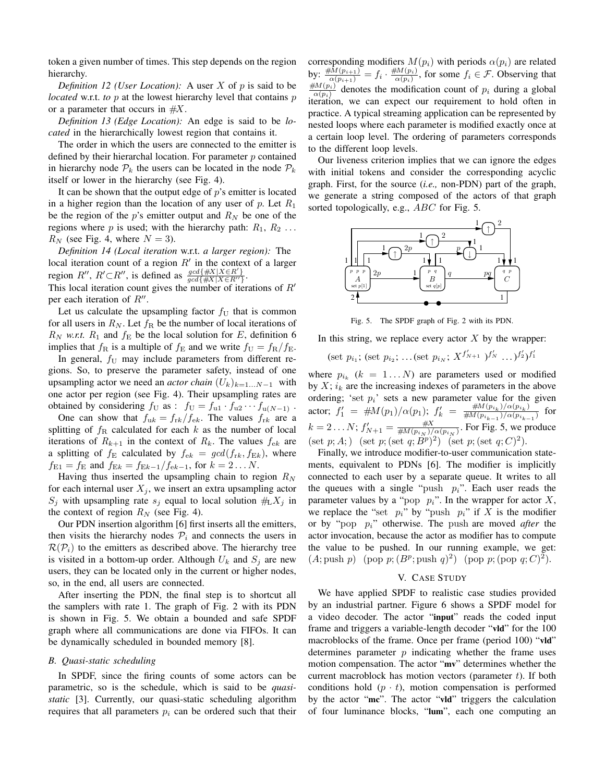token a given number of times. This step depends on the region hierarchy.

*Definition 12 (User Location):* A user X of p is said to be *located* w.r.t. *to*  $p$  at the lowest hierarchy level that contains  $p$ or a parameter that occurs in  $#X$ .

*Definition 13 (Edge Location):* An edge is said to be *located* in the hierarchically lowest region that contains it.

The order in which the users are connected to the emitter is defined by their hierarchal location. For parameter  $p$  contained in hierarchy node  $P_k$  the users can be located in the node  $P_k$ itself or lower in the hierarchy (see Fig. 4).

It can be shown that the output edge of  $p$ 's emitter is located in a higher region than the location of any user of p. Let  $R_1$ be the region of the p's emitter output and  $R_N$  be one of the regions where p is used; with the hierarchy path:  $R_1, R_2 \ldots$  $R_N$  (see Fig. 4, where  $N = 3$ ).

*Definition 14 (Local iteration* w.r.t. *a larger region):* The local iteration count of a region  $R'$  in the context of a larger region  $R''$ ,  $R' \subset R''$ , is defined as  $\frac{gcd(\#X|X \in R')}{gcd(\#X|X \in R'')}$  $\overline{gcd\{\#X|X\in R^{\prime\prime}\}}$ .

This local iteration count gives the number of iterations of  $R'$ per each iteration of  $R''$ .

Let us calculate the upsampling factor  $f_U$  that is common for all users in  $R_N$ . Let  $f_R$  be the number of local iterations of  $R_N$  *w.r.t.*  $R_1$  and  $f_E$  be the local solution for E, definition 6 implies that  $f_{\rm R}$  is a multiple of  $f_{\rm E}$  and we write  $f_{\rm U} = f_{\rm R}/f_{\rm E}$ .

In general,  $f_U$  may include parameters from different regions. So, to preserve the parameter safety, instead of one upsampling actor we need an *actor chain*  $(U_k)_{k=1...N-1}$  with one actor per region (see Fig. 4). Their upsampling rates are obtained by considering  $f_U$  as :  $f_U = f_{u1} \cdot f_{u2} \cdots f_{u(N-1)}$ .

One can show that  $f_{uk} = f_{rk}/f_{ek}$ . The values  $f_{rk}$  are a splitting of  $f_R$  calculated for each k as the number of local iterations of  $R_{k+1}$  in the context of  $R_k$ . The values  $f_{ek}$  are a splitting of  $f_{\rm E}$  calculated by  $f_{\rm e k} = \gcd(f_{\rm r k}, f_{\rm E k})$ , where  $f_{E1} = f_E$  and  $f_{Ek} = f_{Ek-1}/f_{ek-1}$ , for  $k = 2...N$ .

Having thus inserted the upsampling chain to region  $R_N$ for each internal user  $X_j$ , we insert an extra upsampling actor  $S_j$  with upsampling rate  $s_j$  equal to local solution  $\#_1X_j$  in the context of region  $R_N$  (see Fig. 4).

Our PDN insertion algorithm [6] first inserts all the emitters, then visits the hierarchy nodes  $P_i$  and connects the users in  $\mathcal{R}(\mathcal{P}_i)$  to the emitters as described above. The hierarchy tree is visited in a bottom-up order. Although  $U_k$  and  $S_i$  are new users, they can be located only in the current or higher nodes, so, in the end, all users are connected.

After inserting the PDN, the final step is to shortcut all the samplers with rate 1. The graph of Fig. 2 with its PDN is shown in Fig. 5. We obtain a bounded and safe SPDF graph where all communications are done via FIFOs. It can be dynamically scheduled in bounded memory [8].

#### *B. Quasi-static scheduling*

In SPDF, since the firing counts of some actors can be parametric, so is the schedule, which is said to be *quasistatic* [3]. Currently, our quasi-static scheduling algorithm requires that all parameters  $p_i$  can be ordered such that their corresponding modifiers  $M(p_i)$  with periods  $\alpha(p_i)$  are related by:  $\frac{\# M(p_{i+1})}{\alpha(p_{i+1})} = f_i \cdot \frac{\# M(p_i)}{\alpha(p_i)}$  $\frac{d\mathcal{U}(p_i)}{\alpha(p_i)}$ , for some  $f_i \in \mathcal{F}$ . Observing that  $\#M(p_i)$  $\frac{d\mathcal{U}(p_i)}{\alpha(p_i)}$  denotes the modification count of  $p_i$  during a global iteration, we can expect our requirement to hold often in practice. A typical streaming application can be represented by nested loops where each parameter is modified exactly once at a certain loop level. The ordering of parameters corresponds to the different loop levels.

Our liveness criterion implies that we can ignore the edges with initial tokens and consider the corresponding acyclic graph. First, for the source (*i.e.,* non-PDN) part of the graph, we generate a string composed of the actors of that graph sorted topologically, e.g., *ABC* for Fig. 5.



Fig. 5. The SPDF graph of Fig. 2 with its PDN.

In this string, we replace every actor  $X$  by the wrapper:

(set  $p_{i_1}$ ; (set  $p_{i_2}$ ; ...(set  $p_{i_N}$ ;  $X^{f'_{N+1}}$  )<sup>f</sup><sub>N</sub> ...)<sup>f</sup><sub>2</sub>'/<sup>f</sup><sub>1</sub>

where  $p_{i_k}$  ( $k = 1...N$ ) are parameters used or modified by  $X$ ;  $i_k$  are the increasing indexes of parameters in the above ordering; 'set  $p_i$ ' sets a new parameter value for the given actor;  $f_1' = #M(p_1)/\alpha(p_1)$ ;  $f_k' = #M(p_{i_k})/\alpha(p_{i_k})$  $\frac{\#M(p_{i_k})/\alpha(p_{i_k})}{\#M(p_{i_{k-1}})/\alpha(p_{i_{k-1}})}$  for  $k = 2 \dots N$ ;  $f'_{N+1} = \frac{\#X}{\#M(p_{i_N})/\alpha(p_{i_N})}$ . For Fig. 5, we produce (set p; A; ) (set p; (set q;  $B^p$ )<sup>2</sup>) (set p; (set q; C)<sup>2</sup>).

Finally, we introduce modifier-to-user communication statements, equivalent to PDNs [6]. The modifier is implicitly connected to each user by a separate queue. It writes to all the queues with a single "push  $p_i$ ". Each user reads the parameter values by a "pop  $p_i$ ". In the wrapper for actor  $X$ , we replace the "set  $p_i$ " by "push  $p_i$ " if X is the modifier or by "pop pi" otherwise. The push are moved *after* the actor invocation, because the actor as modifier has to compute the value to be pushed. In our running example, we get:  $(A; \text{push } p) \pmod{p}; (B^p; \text{push } q)^2 \pmod{p}; (\text{pop } q; C)^2.$ 

#### V. CASE STUDY

We have applied SPDF to realistic case studies provided by an industrial partner. Figure 6 shows a SPDF model for a video decoder. The actor "input" reads the coded input frame and triggers a variable-length decoder "vld" for the 100 macroblocks of the frame. Once per frame (period 100) "vld" determines parameter  $p$  indicating whether the frame uses motion compensation. The actor "mv" determines whether the current macroblock has motion vectors (parameter  $t$ ). If both conditions hold  $(p \cdot t)$ , motion compensation is performed by the actor "mc". The actor "vld" triggers the calculation of four luminance blocks, "lum", each one computing an